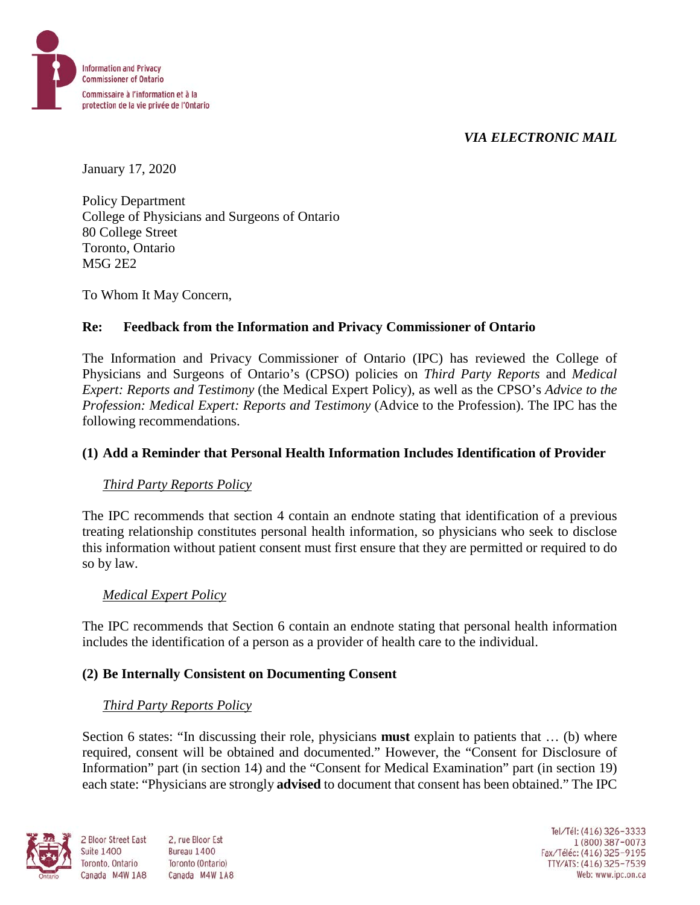

## *VIA ELECTRONIC MAIL*

January 17, 2020

Policy Department College of Physicians and Surgeons of Ontario 80 College Street Toronto, Ontario M5G 2E2

To Whom It May Concern,

## **Re: Feedback from the Information and Privacy Commissioner of Ontario**

The Information and Privacy Commissioner of Ontario (IPC) has reviewed the College of Physicians and Surgeons of Ontario's (CPSO) policies on *Third Party Reports* and *Medical Expert: Reports and Testimony* (the Medical Expert Policy), as well as the CPSO's *Advice to the Profession: Medical Expert: Reports and Testimony* (Advice to the Profession). The IPC has the following recommendations.

## **(1) Add a Reminder that Personal Health Information Includes Identification of Provider**

### *Third Party Reports Policy*

The IPC recommends that section 4 contain an endnote stating that identification of a previous treating relationship constitutes personal health information, so physicians who seek to disclose this information without patient consent must first ensure that they are permitted or required to do so by law.

### *Medical Expert Policy*

The IPC recommends that Section 6 contain an endnote stating that personal health information includes the identification of a person as a provider of health care to the individual.

### **(2) Be Internally Consistent on Documenting Consent**

### *Third Party Reports Policy*

Section 6 states: "In discussing their role, physicians **must** explain to patients that … (b) where required, consent will be obtained and documented." However, the "Consent for Disclosure of Information" part (in section 14) and the "Consent for Medical Examination" part (in section 19) each state: "Physicians are strongly **advised** to document that consent has been obtained." The IPC



**Suite 1400** 

2 Bloor Street East 2. rue Bloor Est Bureau 1400 Toronto, Ontario Toronto (Ontario) Canada M4W 1A8 Canada M4W 1A8

Tel/Tél: (416) 326-3333 1 (800) 387-0073 Fax/Téléc: (416) 325-9195 TTY/ATS: (416) 325-7539<br>Web: www.ipc.on.ca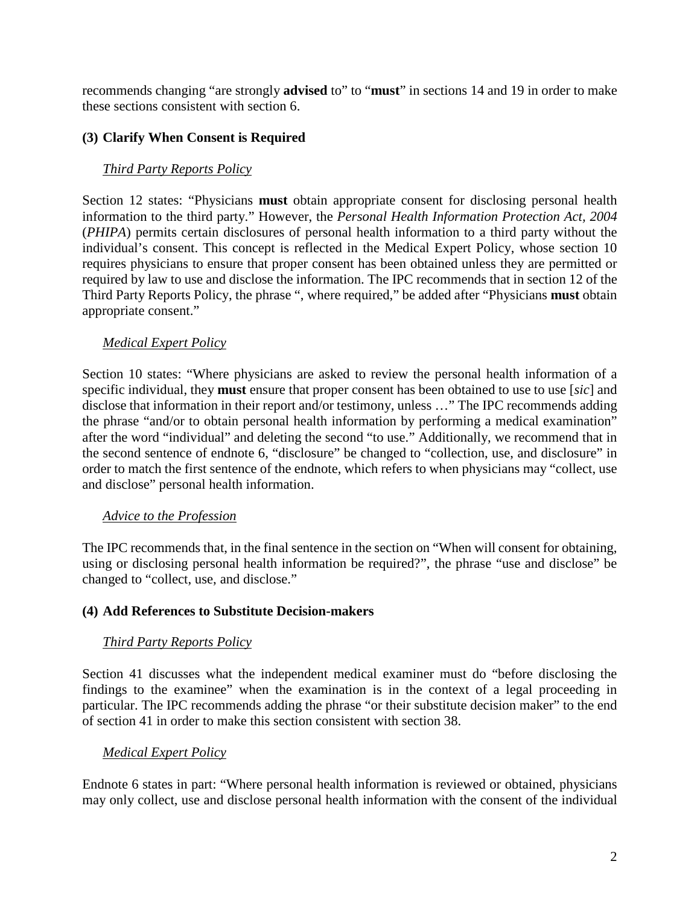recommends changing "are strongly **advised** to" to "**must**" in sections 14 and 19 in order to make these sections consistent with section 6.

### **(3) Clarify When Consent is Required**

## *Third Party Reports Policy*

Section 12 states: "Physicians **must** obtain appropriate consent for disclosing personal health information to the third party." However, the *Personal Health Information Protection Act, 2004* (*PHIPA*) permits certain disclosures of personal health information to a third party without the individual's consent. This concept is reflected in the Medical Expert Policy, whose section 10 requires physicians to ensure that proper consent has been obtained unless they are permitted or required by law to use and disclose the information. The IPC recommends that in section 12 of the Third Party Reports Policy, the phrase ", where required," be added after "Physicians **must** obtain appropriate consent."

### *Medical Expert Policy*

Section 10 states: "Where physicians are asked to review the personal health information of a specific individual, they **must** ensure that proper consent has been obtained to use to use [*sic*] and disclose that information in their report and/or testimony, unless …" The IPC recommends adding the phrase "and/or to obtain personal health information by performing a medical examination" after the word "individual" and deleting the second "to use." Additionally, we recommend that in the second sentence of endnote 6, "disclosure" be changed to "collection, use, and disclosure" in order to match the first sentence of the endnote, which refers to when physicians may "collect, use and disclose" personal health information.

### *Advice to the Profession*

The IPC recommends that, in the final sentence in the section on "When will consent for obtaining, using or disclosing personal health information be required?", the phrase "use and disclose" be changed to "collect, use, and disclose."

### **(4) Add References to Substitute Decision-makers**

### *Third Party Reports Policy*

Section 41 discusses what the independent medical examiner must do "before disclosing the findings to the examinee" when the examination is in the context of a legal proceeding in particular. The IPC recommends adding the phrase "or their substitute decision maker" to the end of section 41 in order to make this section consistent with section 38.

### *Medical Expert Policy*

Endnote 6 states in part: "Where personal health information is reviewed or obtained, physicians may only collect, use and disclose personal health information with the consent of the individual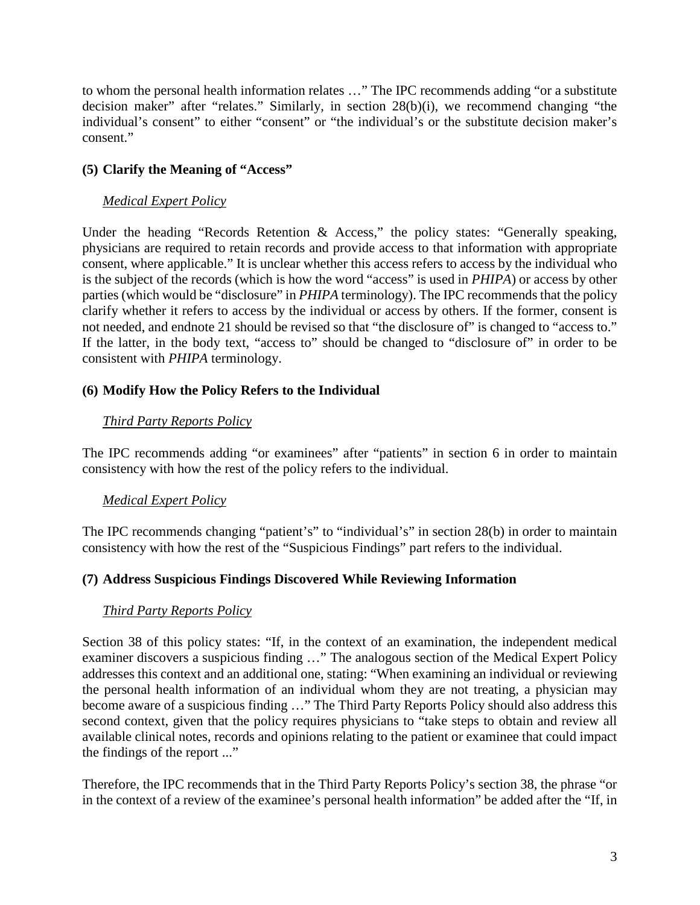to whom the personal health information relates …" The IPC recommends adding "or a substitute decision maker" after "relates." Similarly, in section 28(b)(i), we recommend changing "the individual's consent" to either "consent" or "the individual's or the substitute decision maker's consent."

## **(5) Clarify the Meaning of "Access"**

### *Medical Expert Policy*

Under the heading "Records Retention & Access," the policy states: "Generally speaking, physicians are required to retain records and provide access to that information with appropriate consent, where applicable." It is unclear whether this access refers to access by the individual who is the subject of the records (which is how the word "access" is used in *PHIPA*) or access by other parties (which would be "disclosure" in *PHIPA* terminology). The IPC recommends that the policy clarify whether it refers to access by the individual or access by others. If the former, consent is not needed, and endnote 21 should be revised so that "the disclosure of" is changed to "access to." If the latter, in the body text, "access to" should be changed to "disclosure of" in order to be consistent with *PHIPA* terminology.

## **(6) Modify How the Policy Refers to the Individual**

## *Third Party Reports Policy*

The IPC recommends adding "or examinees" after "patients" in section 6 in order to maintain consistency with how the rest of the policy refers to the individual.

### *Medical Expert Policy*

The IPC recommends changing "patient's" to "individual's" in section 28(b) in order to maintain consistency with how the rest of the "Suspicious Findings" part refers to the individual.

### **(7) Address Suspicious Findings Discovered While Reviewing Information**

### *Third Party Reports Policy*

Section 38 of this policy states: "If, in the context of an examination, the independent medical examiner discovers a suspicious finding …" The analogous section of the Medical Expert Policy addresses this context and an additional one, stating: "When examining an individual or reviewing the personal health information of an individual whom they are not treating, a physician may become aware of a suspicious finding …" The Third Party Reports Policy should also address this second context, given that the policy requires physicians to "take steps to obtain and review all available clinical notes, records and opinions relating to the patient or examinee that could impact the findings of the report ..."

Therefore, the IPC recommends that in the Third Party Reports Policy's section 38, the phrase "or in the context of a review of the examinee's personal health information" be added after the "If, in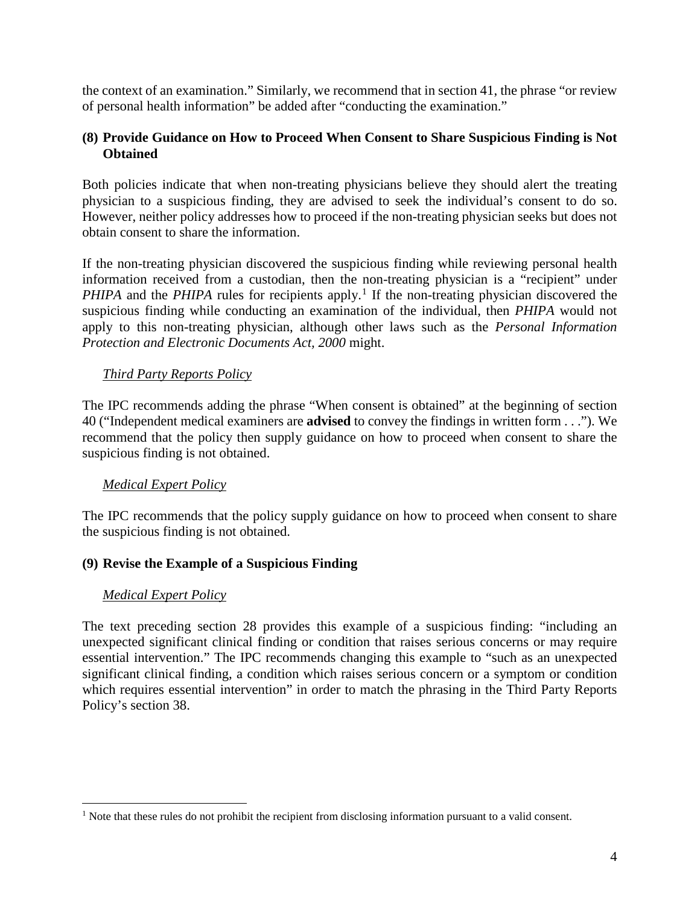the context of an examination." Similarly, we recommend that in section 41, the phrase "or review of personal health information" be added after "conducting the examination."

#### **(8) Provide Guidance on How to Proceed When Consent to Share Suspicious Finding is Not Obtained**

Both policies indicate that when non-treating physicians believe they should alert the treating physician to a suspicious finding, they are advised to seek the individual's consent to do so. However, neither policy addresses how to proceed if the non-treating physician seeks but does not obtain consent to share the information.

If the non-treating physician discovered the suspicious finding while reviewing personal health information received from a custodian, then the non-treating physician is a "recipient" under *PHIPA* and the *PHIPA* rules for recipients apply.<sup>1</sup> If the non-treating physician discovered the suspicious finding while conducting an examination of the individual, then *PHIPA* would not apply to this non-treating physician, although other laws such as the *Personal Information Protection and Electronic Documents Act, 2000* might.

### *Third Party Reports Policy*

The IPC recommends adding the phrase "When consent is obtained" at the beginning of section 40 ("Independent medical examiners are **advised** to convey the findings in written form . . ."). We recommend that the policy then supply guidance on how to proceed when consent to share the suspicious finding is not obtained.

### *Medical Expert Policy*

The IPC recommends that the policy supply guidance on how to proceed when consent to share the suspicious finding is not obtained.

#### **(9) Revise the Example of a Suspicious Finding**

#### *Medical Expert Policy*

The text preceding section 28 provides this example of a suspicious finding: "including an unexpected significant clinical finding or condition that raises serious concerns or may require essential intervention." The IPC recommends changing this example to "such as an unexpected significant clinical finding, a condition which raises serious concern or a symptom or condition which requires essential intervention" in order to match the phrasing in the Third Party Reports Policy's section 38.

 $\overline{a}$ <sup>1</sup> Note that these rules do not prohibit the recipient from disclosing information pursuant to a valid consent.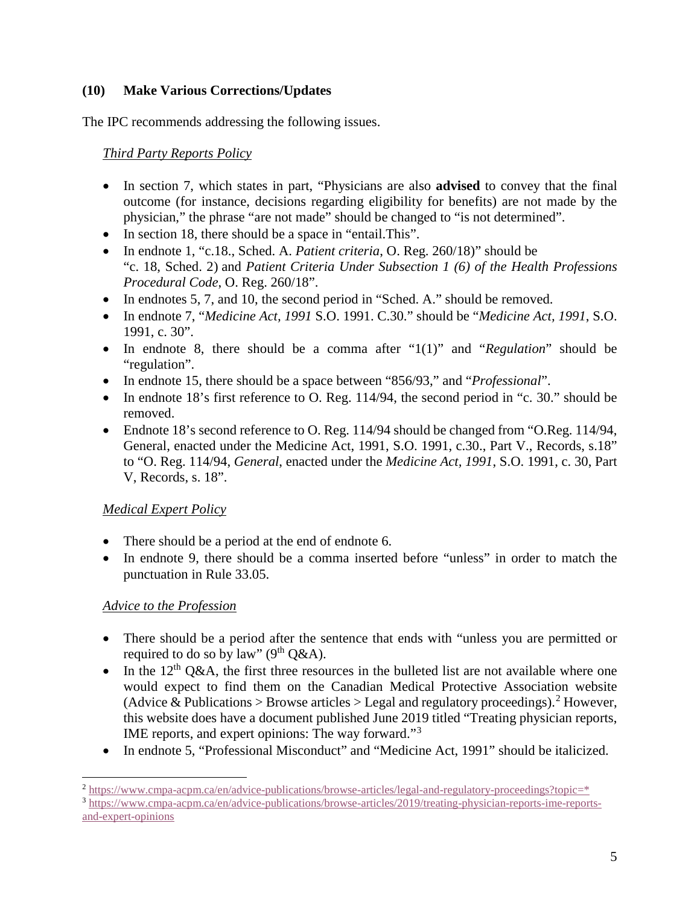### **(10) Make Various Corrections/Updates**

The IPC recommends addressing the following issues.

*Third Party Reports Policy*

- In section 7, which states in part, "Physicians are also **advised** to convey that the final outcome (for instance, decisions regarding eligibility for benefits) are not made by the physician," the phrase "are not made" should be changed to "is not determined".
- In section 18, there should be a space in "entail. This".
- In endnote 1, "c.18., Sched. A. *Patient criteria*, O. Reg. 260/18)" should be "c. 18, Sched. 2) and *Patient Criteria Under Subsection 1 (6) of the Health Professions Procedural Code*, O. Reg. 260/18".
- In endnotes 5, 7, and 10, the second period in "Sched. A." should be removed.
- In endnote 7, "*Medicine Act, 1991* S.O. 1991. C.30." should be "*Medicine Act, 1991*, S.O. 1991, c. 30".
- In endnote 8, there should be a comma after "1(1)" and "*Regulation*" should be "regulation".
- In endnote 15, there should be a space between "856/93," and "*Professional*".
- In endnote 18's first reference to O. Reg. 114/94, the second period in "c. 30." should be removed.
- Endnote 18's second reference to O. Reg. 114/94 should be changed from "O.Reg. 114/94, General, enacted under the Medicine Act, 1991, S.O. 1991, c.30., Part V., Records, s.18" to "O. Reg. 114/94, *General*, enacted under the *Medicine Act, 1991*, S.O. 1991, c. 30, Part V, Records, s. 18".

# *Medical Expert Policy*

- There should be a period at the end of endnote 6.
- In endnote 9, there should be a comma inserted before "unless" in order to match the punctuation in Rule 33.05.

# *Advice to the Profession*

- There should be a period after the sentence that ends with "unless you are permitted or required to do so by law" ( $9<sup>th</sup> Q&A$ ).
- In the 12<sup>th</sup> Q&A, the first three resources in the bulleted list are not available where one would expect to find them on the Canadian Medical Protective Association website (Advice & Publications > Browse articles > Legal and regulatory proceedings).<sup>2</sup> However, this website does have a document published June 2019 titled "Treating physician reports, IME reports, and expert opinions: The way forward."<sup>3</sup>
- In endnote 5, "Professional Misconduct" and "Medicine Act, 1991" should be italicized.

 $\overline{a}$  $\frac{2 \text{ https://www.cmpa-acpm.ca/en/advice-publications/brows-articles/legal-and-regularory-proceedings?topic=*}{3 \text{ https://www.cmpa-acpm.ca/en/advice-publications/brows-articles/2019/treating-physics/ionic=reports-impectors-}$ 

and-expert-opinions